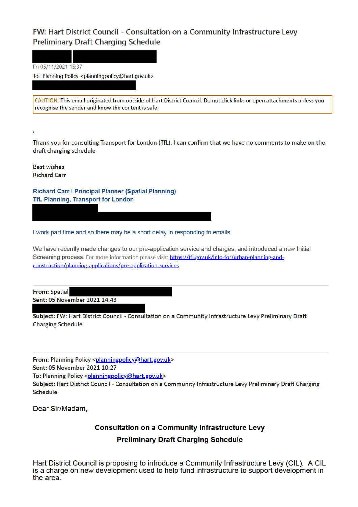## FW: Hart District Council - Consultation on a Community Infrastructure Levy **Preliminary Draft Charging Schedule**

Fri 05/11/2021 15:37

To: Planning Policy <planningpolicy@hart.gov.uk>

CAUTION: This email originated from outside of Hart District Council. Do not click links or open attachments unless you recognise the sender and know the content is safe.

Thank you for consulting Transport for London (TfL). I can confirm that we have no comments to make on the draft charging schedule

**Best wishes Richard Carr** 

**Richard Carr | Principal Planner (Spatial Planning) TfL Planning, Transport for London** 

I work part time and so there may be a short delay in responding to emails

We have recently made changes to our pre-application service and charges, and introduced a new Initial Screening process. For more information please visit: https://tfl.gov.uk/info-for/urban-planning-andconstruction/planning-applications/pre-application-services

**From: Spatial** Sent: 05 November 2021 14:43

Subject: FW: Hart District Council - Consultation on a Community Infrastructure Levy Preliminary Draft **Charging Schedule** 

From: Planning Policy <planningpolicy@hart.gov.uk>

Sent: 05 November 2021 10:27

To: Planning Policy <planningpolicy@hart.gov.uk>

Subject: Hart District Council - Consultation on a Community Infrastructure Levy Preliminary Draft Charging Schedule

Dear Sir/Madam.

## **Consultation on a Community Infrastructure Levy**

## **Preliminary Draft Charging Schedule**

Hart District Council is proposing to introduce a Community Infrastructure Levy (CIL). A CIL is a charge on new development used to help fund infrastructure to support development in the area.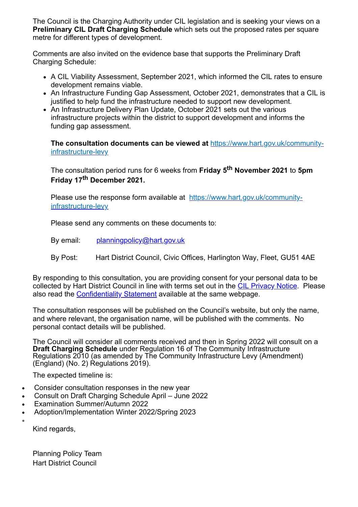The Council is the Charging Authority under CIL legislation and is seeking your views on a **Preliminary CIL Draft Charging Schedule** which sets out the proposed rates per square metre for different types of development.

Comments are also invited on the evidence base that supports the Preliminary Draft Charging Schedule:

- A CIL Viability Assessment, September 2021, which informed the CIL rates to ensure development remains viable.
- An Infrastructure Funding Gap Assessment, October 2021, demonstrates that a CIL is justified to help fund the infrastructure needed to support new development.
- An Infrastructure Delivery Plan Update, October 2021 sets out the various infrastructure projects within the district to support development and informs the funding gap assessment.

**The consultation documents can be viewed at** https://www.hart.gov.uk/communityinfrastructure-levy

The consultation period runs for 6 weeks from **Friday 5th November 2021** to **5pm Friday 17th December 2021.**

Please use the response form available at https://www.hart.gov.uk/communityinfrastructure-levy

Please send any comments on these documents to:

By email: planningpolicy@hart.gov.uk

By Post: Hart District Council, Civic Offices, Harlington Way, Fleet, GU51 4AE

By responding to this consultation, you are providing consent for your personal data to be collected by Hart District Council in line with terms set out in the CIL Privacy Notice. Please also read the Confidentiality Statement available at the same webpage.

The consultation responses will be published on the Council's website, but only the name, and where relevant, the organisation name, will be published with the comments. No personal contact details will be published.

The Council will consider all comments received and then in Spring 2022 will consult on a **Draft Charging Schedule** under Regulation 16 of The Community Infrastructure Regulations 2010 (as amended by The Community Infrastructure Levy (Amendment) (England) (No. 2) Regulations 2019).

The expected timeline is:

- Consider consultation responses in the new year
- · Consult on Draft Charging Schedule April June 2022
- Examination Summer/Autumn 2022
- · Adoption/Implementation Winter 2022/Spring 2023

Kind regards,

·

Planning Policy Team Hart District Council